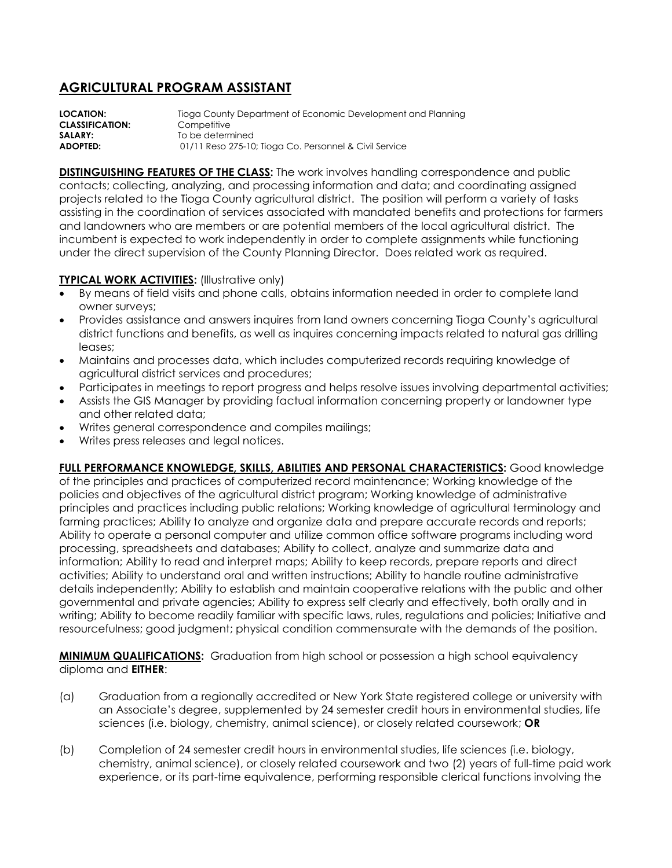## **AGRICULTURAL PROGRAM ASSISTANT**

**LOCATION:** Tioga County Department of Economic Development and Planning **CLASSIFICATION:** Competitive **SALARY:** To be determined **ADOPTED:** 01/11 Reso 275-10; Tioga Co. Personnel & Civil Service

**DISTINGUISHING FEATURES OF THE CLASS:** The work involves handling correspondence and public contacts; collecting, analyzing, and processing information and data; and coordinating assigned projects related to the Tioga County agricultural district. The position will perform a variety of tasks assisting in the coordination of services associated with mandated benefits and protections for farmers and landowners who are members or are potential members of the local agricultural district. The incumbent is expected to work independently in order to complete assignments while functioning under the direct supervision of the County Planning Director. Does related work as required.

## **TYPICAL WORK ACTIVITIES:** (Illustrative only)

- By means of field visits and phone calls, obtains information needed in order to complete land owner surveys;
- Provides assistance and answers inquires from land owners concerning Tioga County's agricultural district functions and benefits, as well as inquires concerning impacts related to natural gas drilling leases;
- Maintains and processes data, which includes computerized records requiring knowledge of agricultural district services and procedures;
- Participates in meetings to report progress and helps resolve issues involving departmental activities;
- Assists the GIS Manager by providing factual information concerning property or landowner type and other related data;
- Writes general correspondence and compiles mailings;
- Writes press releases and legal notices.

**FULL PERFORMANCE KNOWLEDGE, SKILLS, ABILITIES AND PERSONAL CHARACTERISTICS:** Good knowledge of the principles and practices of computerized record maintenance; Working knowledge of the policies and objectives of the agricultural district program; Working knowledge of administrative principles and practices including public relations; Working knowledge of agricultural terminology and farming practices; Ability to analyze and organize data and prepare accurate records and reports; Ability to operate a personal computer and utilize common office software programs including word processing, spreadsheets and databases; Ability to collect, analyze and summarize data and information; Ability to read and interpret maps; Ability to keep records, prepare reports and direct activities; Ability to understand oral and written instructions; Ability to handle routine administrative details independently; Ability to establish and maintain cooperative relations with the public and other governmental and private agencies; Ability to express self clearly and effectively, both orally and in writing; Ability to become readily familiar with specific laws, rules, regulations and policies; Initiative and resourcefulness; good judgment; physical condition commensurate with the demands of the position.

**MINIMUM QUALIFICATIONS:** Graduation from high school or possession a high school equivalency diploma and **EITHER**:

- (a) Graduation from a regionally accredited or New York State registered college or university with an Associate's degree, supplemented by 24 semester credit hours in environmental studies, life sciences (i.e. biology, chemistry, animal science), or closely related coursework; **OR**
- (b) Completion of 24 semester credit hours in environmental studies, life sciences (i.e. biology, chemistry, animal science), or closely related coursework and two (2) years of full-time paid work experience, or its part-time equivalence, performing responsible clerical functions involving the